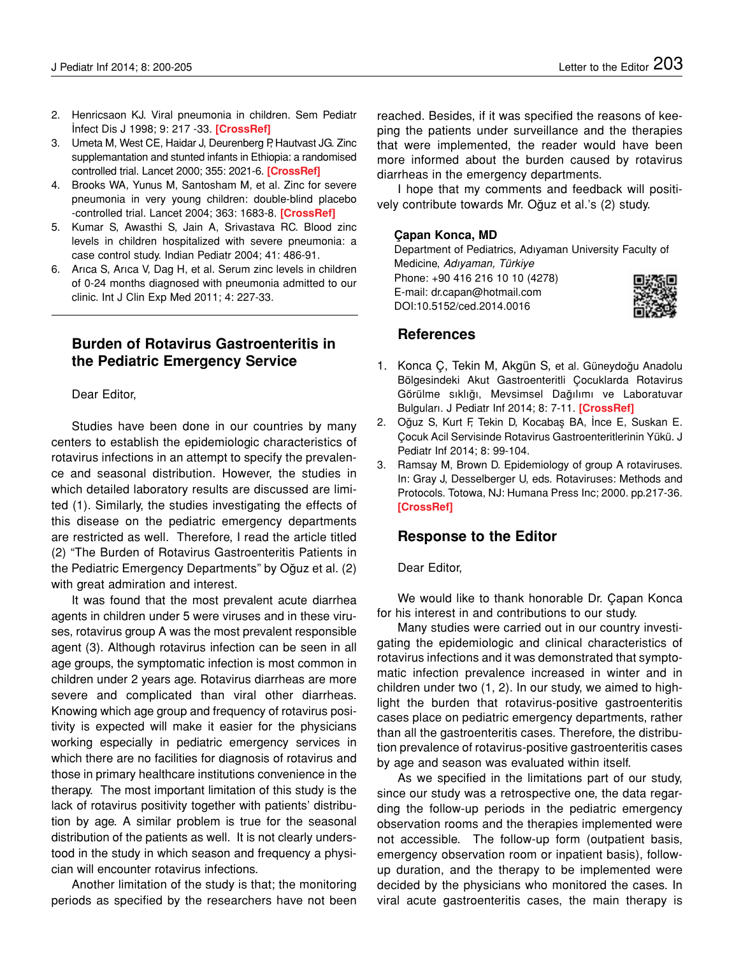- 2. Henricsaon KJ. Viral pneumonia in children. Sem Pediatr İnfect Dis J 1998; 9: 217 -33. **[[CrossRef\]](http://dx.doi.org/10.1016/S1045-1870(98)80035-6)**
- 3. Umeta M, West CE, Haidar J, Deurenberg P, Hautvast JG. Zinc supplemantation and stunted infants in Ethiopia: a randomised controlled trial. Lancet 2000; 355: 2021-6. **[[CrossRef](http://dx.doi.org/10.1016/S0140-6736(00)02348-5)]**
- 4. Brooks WA, Yunus M, Santosham M, et al. Zinc for severe pneumonia in very young children: double-blind placebo -controlled trial. Lancet 2004; 363: 1683-8. **[[CrossRef\]](http://dx.doi.org/10.1016/S0140-6736(04)16252-1)**
- 5. Kumar S, Awasthi S, Jain A, Srivastava RC. [Blood zinc](http://www.ncbi.nlm.nih.gov/pubmed/15181300) [levels in children hospitalized with severe pneumonia: a](http://www.ncbi.nlm.nih.gov/pubmed/15181300) [case control study.](http://www.ncbi.nlm.nih.gov/pubmed/15181300) Indian Pediatr 2004; 41: 486-91.
- 6. Arıca S, Arıca V, Dag H, et al. Serum zinc levels in children of 0-24 months diagnosed with pneumonia admitted to our clinic. Int J Clin Exp Med 2011; 4: 227-33.

# **Burden of Rotavirus Gastroenteritis in the Pediatric Emergency Service**

### Dear Editor,

Studies have been done in our countries by many centers to establish the epidemiologic characteristics of rotavirus infections in an attempt to specify the prevalence and seasonal distribution. However, the studies in which detailed laboratory results are discussed are limited (1). Similarly, the studies investigating the effects of this disease on the pediatric emergency departments are restricted as well. Therefore, I read the article titled (2) "The Burden of Rotavirus Gastroenteritis Patients in the Pediatric Emergency Departments" by Oğuz et al. (2) with great admiration and interest.

It was found that the most prevalent acute diarrhea agents in children under 5 were viruses and in these viruses, rotavirus group A was the most prevalent responsible agent (3). Although rotavirus infection can be seen in all age groups, the symptomatic infection is most common in children under 2 years age. Rotavirus diarrheas are more severe and complicated than viral other diarrheas. Knowing which age group and frequency of rotavirus positivity is expected will make it easier for the physicians working especially in pediatric emergency services in which there are no facilities for diagnosis of rotavirus and those in primary healthcare institutions convenience in the therapy. The most important limitation of this study is the lack of rotavirus positivity together with patients' distribution by age. A similar problem is true for the seasonal distribution of the patients as well. It is not clearly understood in the study in which season and frequency a physician will encounter rotavirus infections.

Another limitation of the study is that; the monitoring periods as specified by the researchers have not been reached. Besides, if it was specified the reasons of keeping the patients under surveillance and the therapies that were implemented, the reader would have been more informed about the burden caused by rotavirus diarrheas in the emergency departments.

I hope that my comments and feedback will positively contribute towards Mr. Oğuz et al.'s (2) study.

#### **Çapan Konca, MD**

Department of Pediatrics, Adıyaman University Faculty of Medicine, *Adıyaman, Türkiye* Phone: +90 416 216 10 10 (4278) E-mail: dr.capan@hotmail.com DOI:10.5152/ced.2014.0016



## **References**

- 1. Konca Ç, Tekin M, Akgün S, et al. Güneydoğu Anadolu Bölgesindeki Akut Gastroenteritli Çocuklarda Rotavirus Görülme sıklığı, Mevsimsel Dağılımı ve Laboratuvar Bulguları. J Pediatr Inf 2014; 8: 7-11. **[[CrossRef\]](http://dx.doi.org/10.5152/ced.2014.1549)**
- 2. Oğuz S, Kurt F, Tekin D, Kocabaş BA, İnce E, Suskan E. Çocuk Acil Servisinde Rotavirus Gastroenteritlerinin Yükü. J Pediatr Inf 2014; 8: 99-104.
- 3. Ramsay M, Brown D. Epidemiology of group A rotaviruses. In: Gray J, Desselberger U, eds. Rotaviruses: Methods and Protocols. Totowa, NJ: Humana Press Inc; 2000. pp.217-36. **[\[CrossRef](http://dx.doi.org/10.1385/1-59259-078-0:217)]**

### **Response to the Editor**

Dear Editor,

We would like to thank honorable Dr. Çapan Konca for his interest in and contributions to our study.

Many studies were carried out in our country investigating the epidemiologic and clinical characteristics of rotavirus infections and it was demonstrated that symptomatic infection prevalence increased in winter and in children under two (1, 2). In our study, we aimed to highlight the burden that rotavirus-positive gastroenteritis cases place on pediatric emergency departments, rather than all the gastroenteritis cases. Therefore, the distribution prevalence of rotavirus-positive gastroenteritis cases by age and season was evaluated within itself.

As we specified in the limitations part of our study, since our study was a retrospective one, the data regarding the follow-up periods in the pediatric emergency observation rooms and the therapies implemented were not accessible. The follow-up form (outpatient basis, emergency observation room or inpatient basis), followup duration, and the therapy to be implemented were decided by the physicians who monitored the cases. In viral acute gastroenteritis cases, the main therapy is